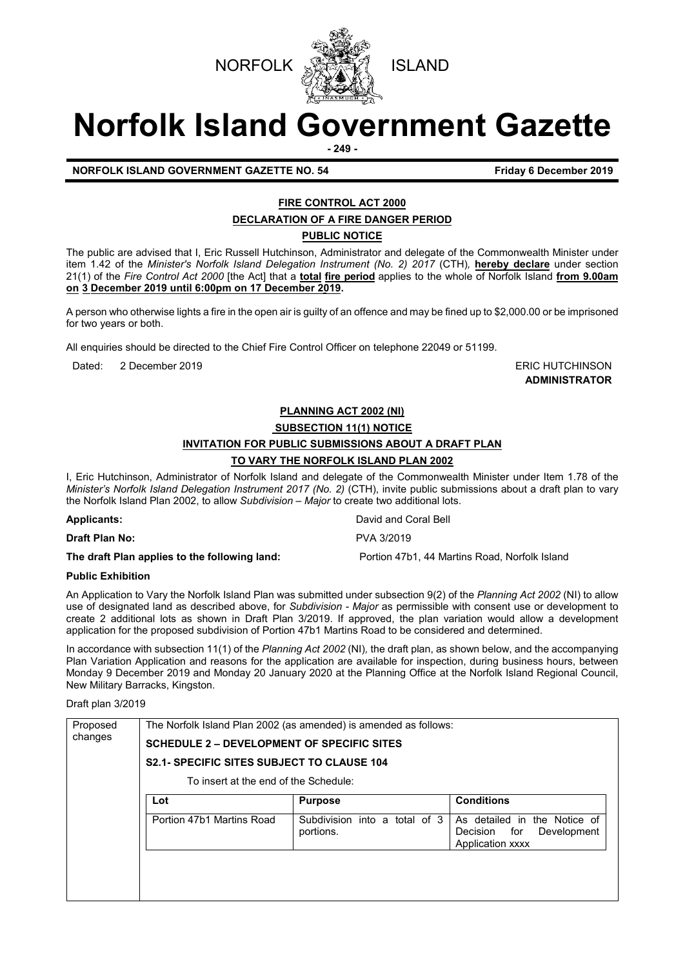



# **Norfolk Island Government Gazette**

**- 249 -**

**NORFOLK ISLAND GOVERNMENT GAZETTE NO. 54** Friday 6 December 2019

# **FIRE CONTROL ACT 2000**

**DECLARATION OF A FIRE DANGER PERIOD**

**PUBLIC NOTICE**

The public are advised that I, Eric Russell Hutchinson, Administrator and delegate of the Commonwealth Minister under item 1.42 of the *Minister's Norfolk Island Delegation Instrument (No. 2) 2017* (CTH)*,* **hereby declare** under section 21(1) of the *Fire Control Act 2000* [the Act] that a **total fire period** applies to the whole of Norfolk Island **from 9.00am on 3 December 2019 until 6:00pm on 17 December 2019.** 

A person who otherwise lights a fire in the open air is guilty of an offence and may be fined up to \$2,000.00 or be imprisoned for two years or both.

All enquiries should be directed to the Chief Fire Control Officer on telephone 22049 or 51199.

Dated: 2 December 2019 **ERIC HUTCHINSON** 

**ADMINISTRATOR**

# **PLANNING ACT 2002 (NI)**

**SUBSECTION 11(1) NOTICE**

# **INVITATION FOR PUBLIC SUBMISSIONS ABOUT A DRAFT PLAN**

# **TO VARY THE NORFOLK ISLAND PLAN 2002**

I, Eric Hutchinson, Administrator of Norfolk Island and delegate of the Commonwealth Minister under Item 1.78 of the *Minister's Norfolk Island Delegation Instrument 2017 (No. 2)* (CTH), invite public submissions about a draft plan to vary the Norfolk Island Plan 2002, to allow *Subdivision – Major* to create two additional lots.

| <b>Applicants:</b>                            | David and Coral Bell                          |
|-----------------------------------------------|-----------------------------------------------|
| <b>Draft Plan No:</b>                         | PVA 3/2019                                    |
| The draft Plan applies to the following land: | Portion 47b1, 44 Martins Road, Norfolk Island |

# **Public Exhibition**

An Application to Vary the Norfolk Island Plan was submitted under subsection 9(2) of the *Planning Act 2002* (NI) to allow use of designated land as described above, for *Subdivision - Major* as permissible with consent use or development to create 2 additional lots as shown in Draft Plan 3/2019. If approved, the plan variation would allow a development application for the proposed subdivision of Portion 47b1 Martins Road to be considered and determined.

In accordance with subsection 11(1) of the *Planning Act 2002* (NI)*,* the draft plan, as shown below, and the accompanying Plan Variation Application and reasons for the application are available for inspection, during business hours, between Monday 9 December 2019 and Monday 20 January 2020 at the Planning Office at the Norfolk Island Regional Council, New Military Barracks, Kingston.

Draft plan 3/2019

| Proposed<br>changes | The Norfolk Island Plan 2002 (as amended) is amended as follows:<br><b>SCHEDULE 2 – DEVELOPMENT OF SPECIFIC SITES</b><br><b>S2.1- SPECIFIC SITES SUBJECT TO CLAUSE 104</b> |                                               |                                                                                    |  |
|---------------------|----------------------------------------------------------------------------------------------------------------------------------------------------------------------------|-----------------------------------------------|------------------------------------------------------------------------------------|--|
|                     | To insert at the end of the Schedule:                                                                                                                                      |                                               |                                                                                    |  |
|                     | Lot                                                                                                                                                                        | <b>Purpose</b>                                | <b>Conditions</b>                                                                  |  |
|                     | Portion 47b1 Martins Road                                                                                                                                                  | Subdivision into a<br>total of 3<br>portions. | As detailed in the Notice of<br>for<br>Development<br>Decision<br>Application xxxx |  |
|                     |                                                                                                                                                                            |                                               |                                                                                    |  |
|                     |                                                                                                                                                                            |                                               |                                                                                    |  |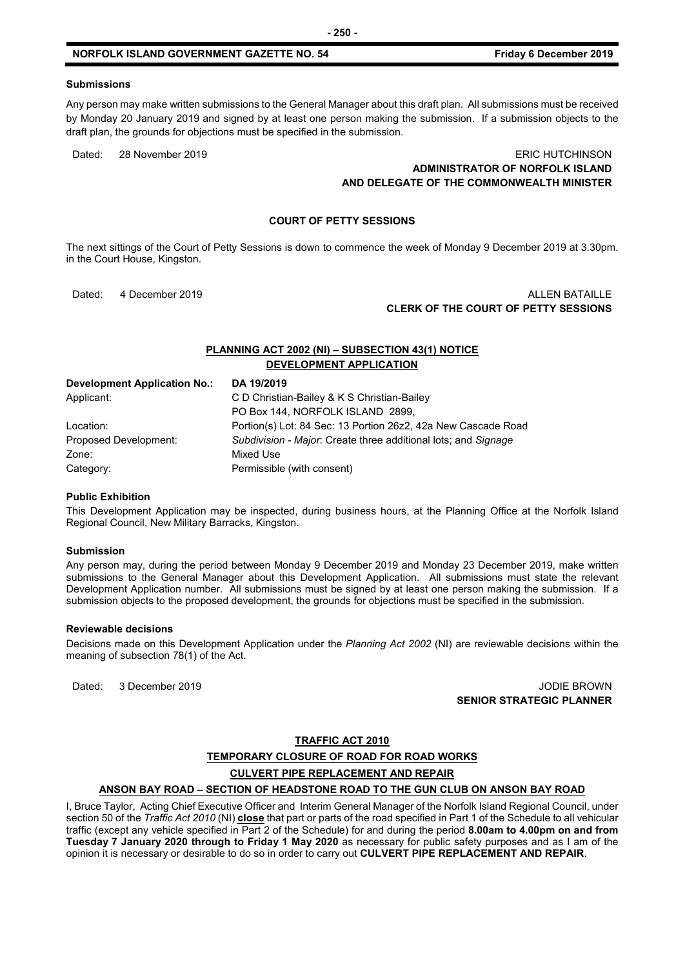Any person may make written submissions to the General Manager about this draft plan. All submissions must be received by Monday 20 January 2019 and signed by at least one person making the submission. If a submission objects to the draft plan, the grounds for objections must be specified in the submission.

# Dated: 28 November 2019 **ERIC HUTCHINSON ADMINISTRATOR OF NORFOLK ISLAND AND DELEGATE OF THE COMMONWEALTH MINISTER**

# **COURT OF PETTY SESSIONS**

The next sittings of the Court of Petty Sessions is down to commence the week of Monday 9 December 2019 at 3.30pm. in the Court House, Kingston.

# Dated: 4 December 2019 **ALLEN BATAILLE CLERK OF THE COURT OF PETTY SESSIONS**

# **PLANNING ACT 2002 (NI) – SUBSECTION 43(1) NOTICE DEVELOPMENT APPLICATION**

| <b>Development Application No.:</b> | DA 19/2019                                                     |
|-------------------------------------|----------------------------------------------------------------|
| Applicant:                          | C D Christian-Bailey & K S Christian-Bailey                    |
|                                     | PO Box 144, NORFOLK ISLAND 2899,                               |
| Location:                           | Portion(s) Lot: 84 Sec: 13 Portion 26z2, 42a New Cascade Road  |
| Proposed Development:               | Subdivision - Major: Create three additional lots; and Signage |
| Zone:                               | Mixed Use                                                      |
| Category:                           | Permissible (with consent)                                     |

#### **Public Exhibition**

This Development Application may be inspected, during business hours, at the Planning Office at the Norfolk Island Regional Council, New Military Barracks, Kingston.

#### **Submission**

Any person may, during the period between Monday 9 December 2019 and Monday 23 December 2019, make written submissions to the General Manager about this Development Application. All submissions must state the relevant Development Application number. All submissions must be signed by at least one person making the submission. If a submission objects to the proposed development, the grounds for objections must be specified in the submission.

#### **Reviewable decisions**

Decisions made on this Development Application under the *Planning Act 2002* (NI) are reviewable decisions within the meaning of subsection 78(1) of the Act.

Dated: 3 December 2019 JODIE BROWN

**SENIOR STRATEGIC PLANNER**

# **TRAFFIC ACT 2010**

# **TEMPORARY CLOSURE OF ROAD FOR ROAD WORKS**

# **CULVERT PIPE REPLACEMENT AND REPAIR**

#### **ANSON BAY ROAD – SECTION OF HEADSTONE ROAD TO THE GUN CLUB ON ANSON BAY ROAD**

I, Bruce Taylor, Acting Chief Executive Officer and Interim General Manager of the Norfolk Island Regional Council, under section 50 of the *Traffic Act 2010* (NI) **close** that part or parts of the road specified in Part 1 of the Schedule to all vehicular traffic (except any vehicle specified in Part 2 of the Schedule) for and during the period **8.00am to 4.00pm on and from Tuesday 7 January 2020 through to Friday 1 May 2020** as necessary for public safety purposes and as I am of the opinion it is necessary or desirable to do so in order to carry out **CULVERT PIPE REPLACEMENT AND REPAIR**.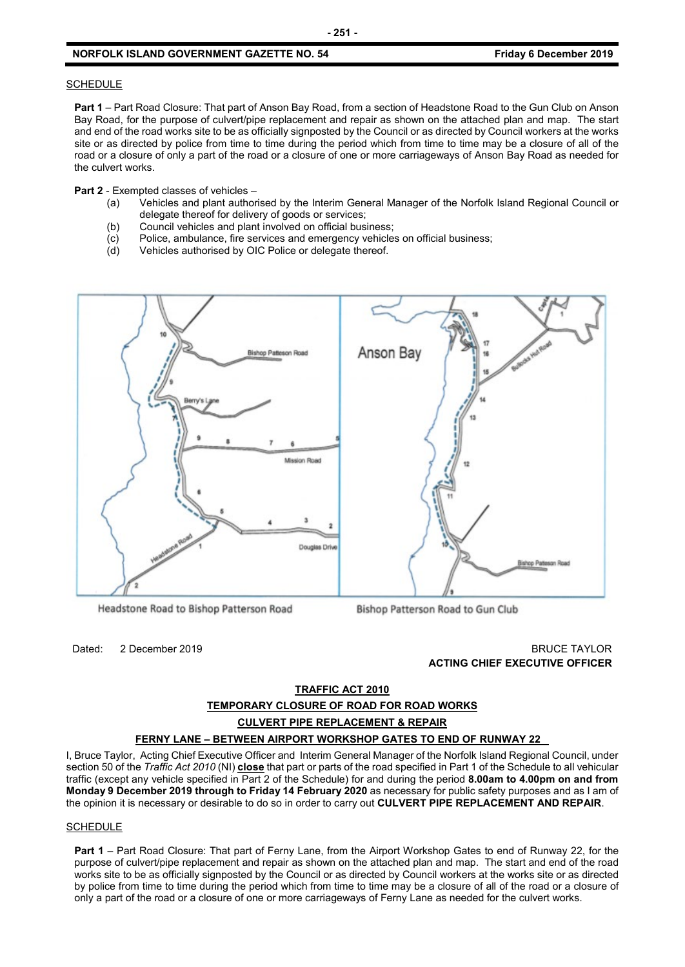#### **SCHEDULE**

**Part 1** – Part Road Closure: That part of Anson Bay Road, from a section of Headstone Road to the Gun Club on Anson Bay Road, for the purpose of culvert/pipe replacement and repair as shown on the attached plan and map. The start and end of the road works site to be as officially signposted by the Council or as directed by Council workers at the works site or as directed by police from time to time during the period which from time to time may be a closure of all of the road or a closure of only a part of the road or a closure of one or more carriageways of Anson Bay Road as needed for the culvert works.

**Part 2** - Exempted classes of vehicles –

- (a) Vehicles and plant authorised by the Interim General Manager of the Norfolk Island Regional Council or delegate thereof for delivery of goods or services;
- (b) Council vehicles and plant involved on official business;
- (c) Police, ambulance, fire services and emergency vehicles on official business;
- (d) Vehicles authorised by OIC Police or delegate thereof.



Headstone Road to Bishop Patterson Road

Bishop Patterson Road to Gun Club

Dated: 2 December 2019 BRUCE TAYLOR **ACTING CHIEF EXECUTIVE OFFICER**

# **TRAFFIC ACT 2010**

**TEMPORARY CLOSURE OF ROAD FOR ROAD WORKS** 

#### **CULVERT PIPE REPLACEMENT & REPAIR**

#### **FERNY LANE – BETWEEN AIRPORT WORKSHOP GATES TO END OF RUNWAY 22**

I, Bruce Taylor, Acting Chief Executive Officer and Interim General Manager of the Norfolk Island Regional Council, under section 50 of the *Traffic Act 2010* (NI) **close** that part or parts of the road specified in Part 1 of the Schedule to all vehicular traffic (except any vehicle specified in Part 2 of the Schedule) for and during the period **8.00am to 4.00pm on and from Monday 9 December 2019 through to Friday 14 February 2020** as necessary for public safety purposes and as I am of the opinion it is necessary or desirable to do so in order to carry out **CULVERT PIPE REPLACEMENT AND REPAIR**.

#### **SCHEDULE**

**Part 1** – Part Road Closure: That part of Ferny Lane, from the Airport Workshop Gates to end of Runway 22, for the purpose of culvert/pipe replacement and repair as shown on the attached plan and map. The start and end of the road works site to be as officially signposted by the Council or as directed by Council workers at the works site or as directed by police from time to time during the period which from time to time may be a closure of all of the road or a closure of only a part of the road or a closure of one or more carriageways of Ferny Lane as needed for the culvert works.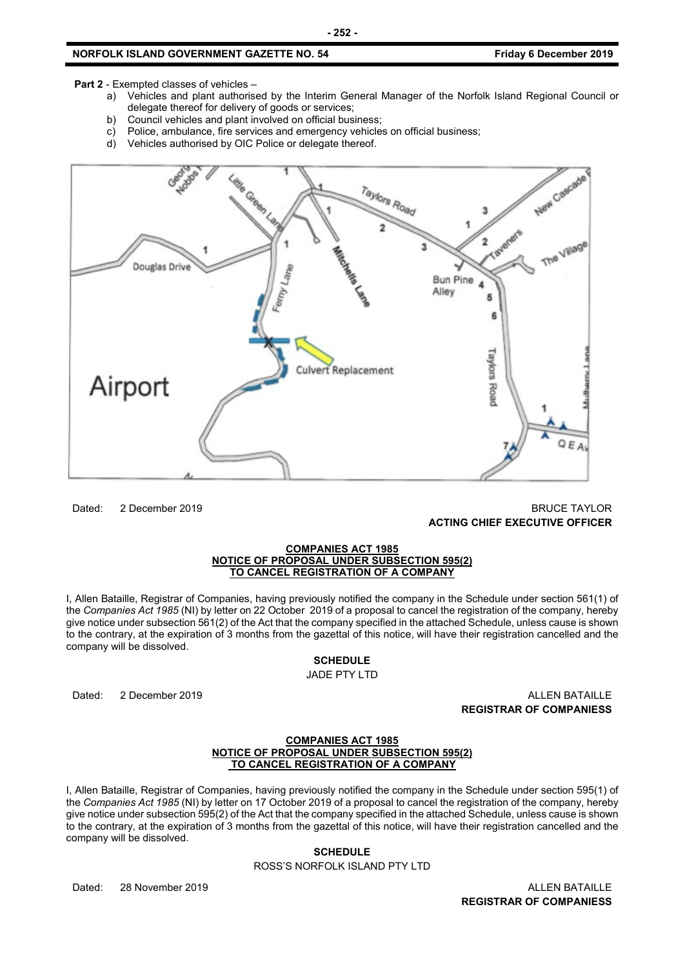**Part 2** - Exempted classes of vehicles –

- a) Vehicles and plant authorised by the Interim General Manager of the Norfolk Island Regional Council or delegate thereof for delivery of goods or services;
- b) Council vehicles and plant involved on official business;
- c) Police, ambulance, fire services and emergency vehicles on official business;
- d) Vehicles authorised by OIC Police or delegate thereof.



Dated: 2 December 2019 BRUCE TAYLOR **ACTING CHIEF EXECUTIVE OFFICER**

#### **COMPANIES ACT 1985 NOTICE OF PROPOSAL UNDER SUBSECTION 595(2) TO CANCEL REGISTRATION OF A COMPANY**

I, Allen Bataille, Registrar of Companies, having previously notified the company in the Schedule under section 561(1) of the *Companies Act 1985* (NI) by letter on 22 October 2019 of a proposal to cancel the registration of the company, hereby give notice under subsection 561(2) of the Act that the company specified in the attached Schedule, unless cause is shown to the contrary, at the expiration of 3 months from the gazettal of this notice, will have their registration cancelled and the company will be dissolved.

#### **SCHEDULE**

JADE PTY LTD

Dated: 2 December 2019 ALLEN BATAILLE **REGISTRAR OF COMPANIESS**

#### **COMPANIES ACT 1985 NOTICE OF PROPOSAL UNDER SUBSECTION 595(2) TO CANCEL REGISTRATION OF A COMPANY**

I, Allen Bataille, Registrar of Companies, having previously notified the company in the Schedule under section 595(1) of the *Companies Act 1985* (NI) by letter on 17 October 2019 of a proposal to cancel the registration of the company, hereby give notice under subsection 595(2) of the Act that the company specified in the attached Schedule, unless cause is shown to the contrary, at the expiration of 3 months from the gazettal of this notice, will have their registration cancelled and the company will be dissolved.

# **SCHEDULE**

ROSS'S NORFOLK ISLAND PTY LTD

Dated: 28 November 2019 ALLEN BATAILLE

**REGISTRAR OF COMPANIESS**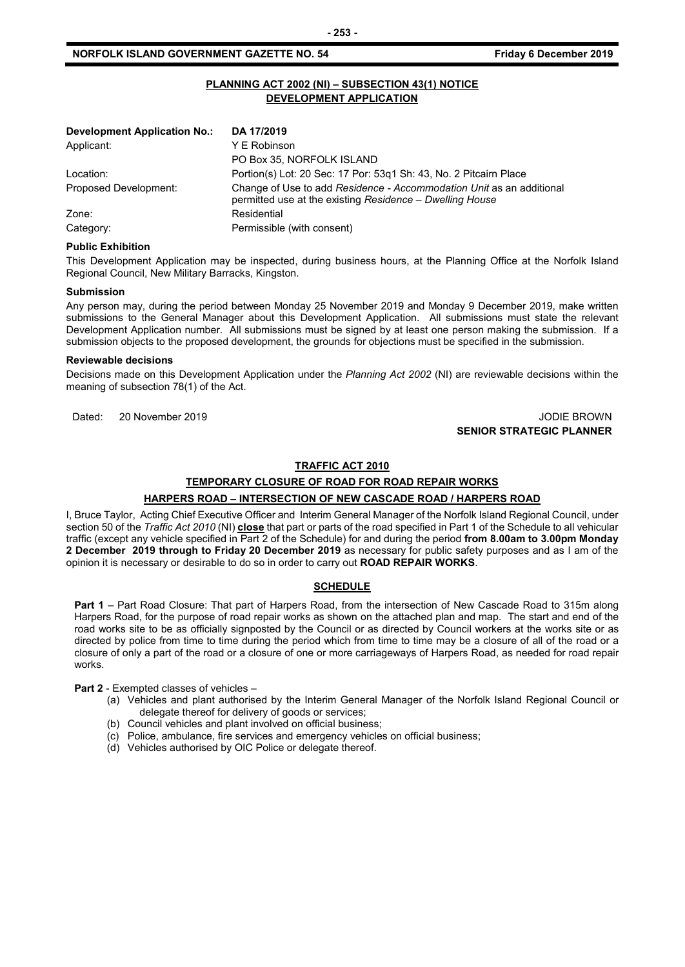# **PLANNING ACT 2002 (NI) – SUBSECTION 43(1) NOTICE DEVELOPMENT APPLICATION**

**- 253 -**

| Development Application No.: | DA 17/2019                                                                                                                       |
|------------------------------|----------------------------------------------------------------------------------------------------------------------------------|
| Applicant:                   | Y E Robinson                                                                                                                     |
|                              | PO Box 35, NORFOLK ISLAND                                                                                                        |
| Location:                    | Portion(s) Lot: 20 Sec: 17 Por: 53g1 Sh: 43, No. 2 Pitcairn Place                                                                |
| Proposed Development:        | Change of Use to add Residence - Accommodation Unit as an additional<br>permitted use at the existing Residence - Dwelling House |
| Zone:                        | Residential                                                                                                                      |
| Category:                    | Permissible (with consent)                                                                                                       |

#### **Public Exhibition**

This Development Application may be inspected, during business hours, at the Planning Office at the Norfolk Island Regional Council, New Military Barracks, Kingston.

#### **Submission**

Any person may, during the period between Monday 25 November 2019 and Monday 9 December 2019, make written submissions to the General Manager about this Development Application. All submissions must state the relevant Development Application number. All submissions must be signed by at least one person making the submission. If a submission objects to the proposed development, the grounds for objections must be specified in the submission.

#### **Reviewable decisions**

Decisions made on this Development Application under the *Planning Act 2002* (NI) are reviewable decisions within the meaning of subsection 78(1) of the Act.

Dated: 20 November 2019 JODIE BROWN **SENIOR STRATEGIC PLANNER** 

#### **TRAFFIC ACT 2010**

# **TEMPORARY CLOSURE OF ROAD FOR ROAD REPAIR WORKS**

# **HARPERS ROAD – INTERSECTION OF NEW CASCADE ROAD / HARPERS ROAD**

I, Bruce Taylor, Acting Chief Executive Officer and Interim General Manager of the Norfolk Island Regional Council, under section 50 of the *Traffic Act 2010* (NI) **close** that part or parts of the road specified in Part 1 of the Schedule to all vehicular traffic (except any vehicle specified in Part 2 of the Schedule) for and during the period **from 8.00am to 3.00pm Monday 2 December 2019 through to Friday 20 December 2019** as necessary for public safety purposes and as I am of the opinion it is necessary or desirable to do so in order to carry out **ROAD REPAIR WORKS**.

#### **SCHEDULE**

**Part 1** – Part Road Closure: That part of Harpers Road, from the intersection of New Cascade Road to 315m along Harpers Road, for the purpose of road repair works as shown on the attached plan and map. The start and end of the road works site to be as officially signposted by the Council or as directed by Council workers at the works site or as directed by police from time to time during the period which from time to time may be a closure of all of the road or a closure of only a part of the road or a closure of one or more carriageways of Harpers Road, as needed for road repair works.

**Part 2** - Exempted classes of vehicles –

- (a) Vehicles and plant authorised by the Interim General Manager of the Norfolk Island Regional Council or delegate thereof for delivery of goods or services;
- (b) Council vehicles and plant involved on official business;
- (c) Police, ambulance, fire services and emergency vehicles on official business;
- (d) Vehicles authorised by OIC Police or delegate thereof.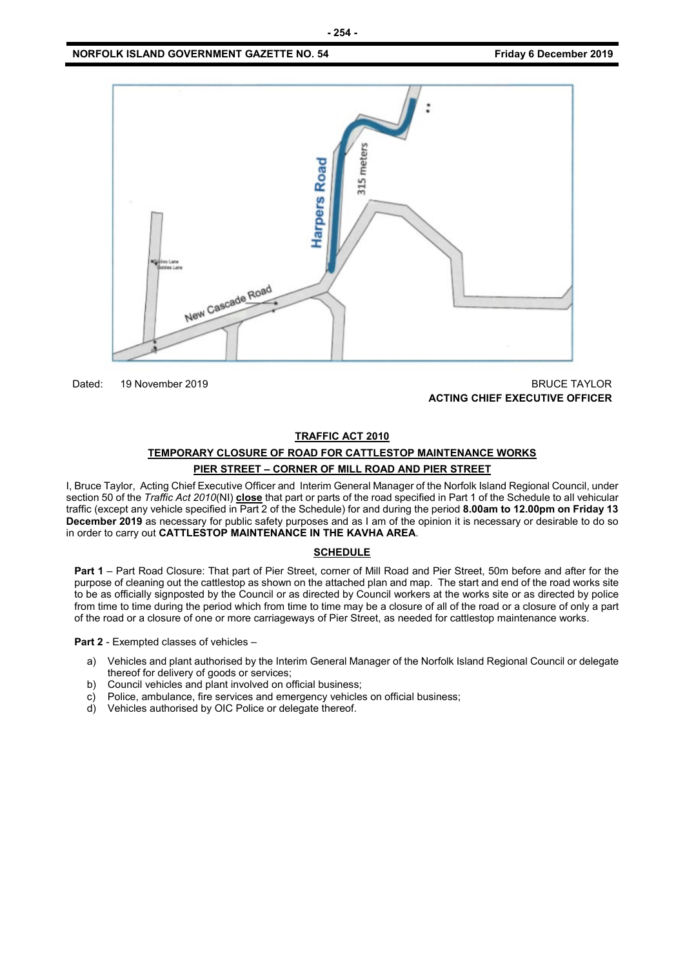

Dated: 19 November 2019 BRUCE TAYLOR **ACTING CHIEF EXECUTIVE OFFICER**

#### **TRAFFIC ACT 2010**

# **TEMPORARY CLOSURE OF ROAD FOR CATTLESTOP MAINTENANCE WORKS PIER STREET – CORNER OF MILL ROAD AND PIER STREET**

I, Bruce Taylor, Acting Chief Executive Officer and Interim General Manager of the Norfolk Island Regional Council, under section 50 of the *Traffic Act 2010*(NI) **close** that part or parts of the road specified in Part 1 of the Schedule to all vehicular traffic (except any vehicle specified in Part 2 of the Schedule) for and during the period **8.00am to 12.00pm on Friday 13 December 2019** as necessary for public safety purposes and as I am of the opinion it is necessary or desirable to do so in order to carry out **CATTLESTOP MAINTENANCE IN THE KAVHA AREA**.

## **SCHEDULE**

**Part 1** – Part Road Closure: That part of Pier Street, corner of Mill Road and Pier Street, 50m before and after for the purpose of cleaning out the cattlestop as shown on the attached plan and map. The start and end of the road works site to be as officially signposted by the Council or as directed by Council workers at the works site or as directed by police from time to time during the period which from time to time may be a closure of all of the road or a closure of only a part of the road or a closure of one or more carriageways of Pier Street, as needed for cattlestop maintenance works.

**Part 2** - Exempted classes of vehicles –

- a) Vehicles and plant authorised by the Interim General Manager of the Norfolk Island Regional Council or delegate thereof for delivery of goods or services;
- b) Council vehicles and plant involved on official business;
- c) Police, ambulance, fire services and emergency vehicles on official business;<br>d) Vehicles authorised by OIC Police or delegate thereof.
- Vehicles authorised by OIC Police or delegate thereof.